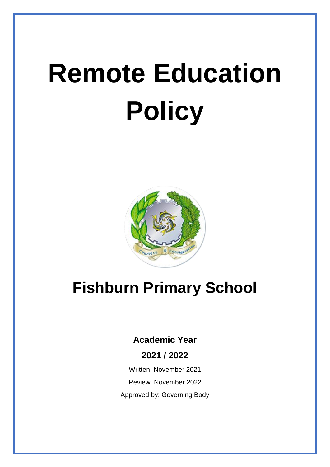# **Remote Education Policy**



# **Fishburn Primary School**

## **Academic Year**

#### **2021 / 2022**

Written: November 2021 Review: November 2022 Approved by: Governing Body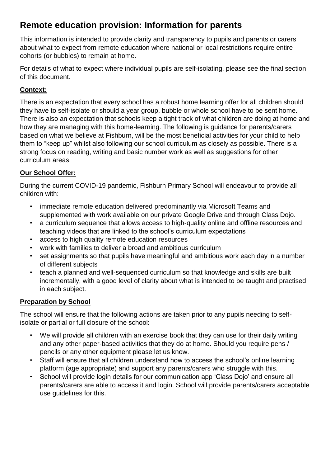### **Remote education provision: Information for parents**

This information is intended to provide clarity and transparency to pupils and parents or carers about what to expect from remote education where national or local restrictions require entire cohorts (or bubbles) to remain at home.

For details of what to expect where individual pupils are self-isolating, please see the final section of this document.

#### **Context:**

There is an expectation that every school has a robust home learning offer for all children should they have to self-isolate or should a year group, bubble or whole school have to be sent home. There is also an expectation that schools keep a tight track of what children are doing at home and how they are managing with this home-learning. The following is guidance for parents/carers based on what we believe at Fishburn, will be the most beneficial activities for your child to help them to "keep up" whilst also following our school curriculum as closely as possible. There is a strong focus on reading, writing and basic number work as well as suggestions for other curriculum areas.

#### **Our School Offer:**

During the current COVID-19 pandemic, Fishburn Primary School will endeavour to provide all children with:

- immediate remote education delivered predominantly via Microsoft Teams and supplemented with work available on our private Google Drive and through Class Dojo.
- a curriculum sequence that allows access to high-quality online and offline resources and teaching videos that are linked to the school's curriculum expectations
- access to high quality remote education resources
- work with families to deliver a broad and ambitious curriculum
- set assignments so that pupils have meaningful and ambitious work each day in a number of different subjects
- teach a planned and well-sequenced curriculum so that knowledge and skills are built incrementally, with a good level of clarity about what is intended to be taught and practised in each subject.

#### **Preparation by School**

The school will ensure that the following actions are taken prior to any pupils needing to selfisolate or partial or full closure of the school:

- We will provide all children with an exercise book that they can use for their daily writing and any other paper-based activities that they do at home. Should you require pens / pencils or any other equipment please let us know.
- Staff will ensure that all children understand how to access the school's online learning platform (age appropriate) and support any parents/carers who struggle with this.
- School will provide login details for our communication app 'Class Dojo' and ensure all parents/carers are able to access it and login. School will provide parents/carers acceptable use guidelines for this.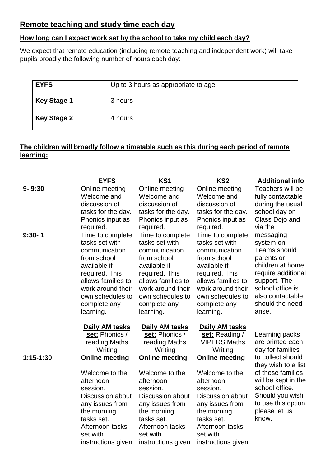#### **Remote teaching and study time each day**

#### **How long can I expect work set by the school to take my child each day?**

We expect that remote education (including remote teaching and independent work) will take pupils broadly the following number of hours each day:

| <b>EYFS</b>        | Up to 3 hours as appropriate to age |
|--------------------|-------------------------------------|
| <b>Key Stage 1</b> | 3 hours                             |
| <b>Key Stage 2</b> | 4 hours                             |

#### **The children will broadly follow a timetable such as this during each period of remote learning:**

|             | <b>EYFS</b>             | KS1                     | KS <sub>2</sub>         | <b>Additional info</b> |
|-------------|-------------------------|-------------------------|-------------------------|------------------------|
| $9 - 9:30$  | Online meeting          | Online meeting          | Online meeting          | Teachers will be       |
|             | Welcome and             | Welcome and             | Welcome and             | fully contactable      |
|             | discussion of           | discussion of           | discussion of           | during the usual       |
|             | tasks for the day.      | tasks for the day.      | tasks for the day.      | school day on          |
|             | Phonics input as        | Phonics input as        | Phonics input as        | Class Dojo and         |
|             | required.               | required.               | required.               | via the                |
| $9:30 - 1$  | Time to complete        | Time to complete        | Time to complete        | messaging              |
|             | tasks set with          | tasks set with          | tasks set with          | system on              |
|             | communication           | communication           | communication           | <b>Teams should</b>    |
|             | from school             | from school             | from school             | parents or             |
|             | available if            | available if            | available if            | children at home       |
|             | required. This          | required. This          | required. This          | require additional     |
|             | allows families to      | allows families to      | allows families to      | support. The           |
|             | work around their       | work around their       | work around their       | school office is       |
|             | own schedules to        | own schedules to        | own schedules to        | also contactable       |
|             | complete any            | complete any            | complete any            | should the need        |
|             | learning.               | learning.               | learning.               | arise.                 |
|             | Daily AM tasks          | Daily AM tasks          | Daily AM tasks          |                        |
|             | set: Phonics /          | set: Phonics /          | set: Reading /          | Learning packs         |
|             | reading Maths           | reading Maths           | <b>VIPERS Maths</b>     | are printed each       |
|             | Writing                 | Writing                 | Writing                 | day for families       |
| $1:15-1:30$ | <b>Online meeting</b>   | <b>Online meeting</b>   | <b>Online meeting</b>   | to collect should      |
|             |                         |                         |                         | they wish to a list    |
|             | Welcome to the          | Welcome to the          | Welcome to the          | of these families      |
|             | afternoon               | afternoon               | afternoon               | will be kept in the    |
|             | session.                | session.                | session.                | school office.         |
|             | <b>Discussion about</b> | <b>Discussion about</b> | <b>Discussion about</b> | Should you wish        |
|             | any issues from         | any issues from         | any issues from         | to use this option     |
|             | the morning             | the morning             | the morning             | please let us          |
|             | tasks set.              | tasks set.              | tasks set.              | know.                  |
|             | Afternoon tasks         | Afternoon tasks         | Afternoon tasks         |                        |
|             | set with                | set with                | set with                |                        |
|             | instructions given      | instructions given      | instructions given      |                        |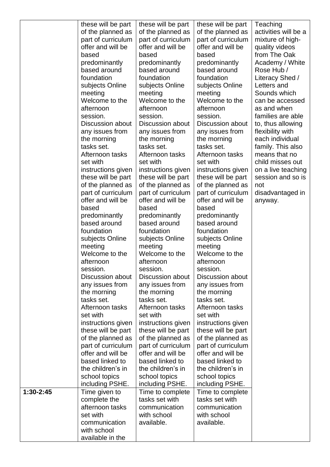| activities will be a<br>of the planned as<br>of the planned as<br>of the planned as<br>part of curriculum<br>part of curriculum<br>part of curriculum<br>mixture of high-<br>offer and will be<br>offer and will be<br>offer and will be<br>quality videos<br>based<br>from The Oak<br>based<br>based<br>predominantly<br>predominantly<br>predominantly<br>Academy / White<br>based around<br>based around<br>based around<br>Rose Hub /<br>foundation<br>foundation<br>foundation<br>Literacy Shed /<br>subjects Online<br>subjects Online<br>subjects Online<br>Letters and<br>Sounds which<br>meeting<br>meeting<br>meeting<br>Welcome to the<br>Welcome to the<br>Welcome to the<br>can be accessed<br>afternoon<br>afternoon<br>afternoon<br>as and when<br>session.<br>session.<br>session.<br>families are able<br>Discussion about<br>Discussion about<br><b>Discussion about</b><br>to, thus allowing<br>any issues from<br>any issues from<br>any issues from<br>flexibility with<br>each individual<br>the morning<br>the morning<br>the morning<br>family. This also<br>tasks set.<br>tasks set.<br>tasks set.<br>Afternoon tasks<br>Afternoon tasks<br>means that no<br>Afternoon tasks<br>set with<br>set with<br>set with<br>child misses out<br>instructions given<br>instructions given<br>instructions given<br>on a live teaching<br>these will be part<br>these will be part<br>these will be part<br>session and so is<br>of the planned as<br>of the planned as<br>of the planned as<br>not<br>part of curriculum<br>part of curriculum<br>part of curriculum<br>disadvantaged in<br>offer and will be<br>offer and will be<br>offer and will be<br>anyway.<br>based<br>based<br>based<br>predominantly<br>predominantly<br>predominantly<br>based around<br>based around<br>based around<br>foundation<br>foundation<br>foundation<br>subjects Online<br>subjects Online<br>subjects Online<br>meeting<br>meeting<br>meeting<br>Welcome to the<br>Welcome to the<br>Welcome to the<br>afternoon<br>afternoon<br>afternoon<br>session.<br>session.<br>session.<br><b>Discussion about</b><br>Discussion about<br>Discussion about<br>any issues from<br>any issues from<br>any issues from<br>the morning<br>the morning<br>the morning<br>tasks set.<br>tasks set.<br>tasks set.<br>Afternoon tasks<br>Afternoon tasks<br>Afternoon tasks<br>set with<br>set with<br>set with<br>instructions given<br>instructions given<br>instructions given<br>these will be part<br>these will be part<br>these will be part<br>of the planned as<br>of the planned as<br>of the planned as<br>part of curriculum<br>part of curriculum<br>part of curriculum<br>offer and will be<br>offer and will be<br>offer and will be<br>based linked to<br>based linked to<br>based linked to<br>the children's in<br>the children's in<br>the children's in<br>school topics<br>school topics<br>school topics<br>including PSHE.<br>including PSHE.<br>including PSHE.<br>1:30-2:45<br>Time given to<br>Time to complete<br>Time to complete<br>complete the<br>tasks set with<br>tasks set with<br>afternoon tasks<br>communication<br>communication<br>set with<br>with school<br>with school<br>communication<br>available.<br>available.<br>with school<br>available in the | these will be part | these will be part | these will be part | Teaching |
|----------------------------------------------------------------------------------------------------------------------------------------------------------------------------------------------------------------------------------------------------------------------------------------------------------------------------------------------------------------------------------------------------------------------------------------------------------------------------------------------------------------------------------------------------------------------------------------------------------------------------------------------------------------------------------------------------------------------------------------------------------------------------------------------------------------------------------------------------------------------------------------------------------------------------------------------------------------------------------------------------------------------------------------------------------------------------------------------------------------------------------------------------------------------------------------------------------------------------------------------------------------------------------------------------------------------------------------------------------------------------------------------------------------------------------------------------------------------------------------------------------------------------------------------------------------------------------------------------------------------------------------------------------------------------------------------------------------------------------------------------------------------------------------------------------------------------------------------------------------------------------------------------------------------------------------------------------------------------------------------------------------------------------------------------------------------------------------------------------------------------------------------------------------------------------------------------------------------------------------------------------------------------------------------------------------------------------------------------------------------------------------------------------------------------------------------------------------------------------------------------------------------------------------------------------------------------------------------------------------------------------------------------------------------------------------------------------------------------------------------------------------------------------------------------------------------------------------------------------------------------------------------------------------------------------------------------------------------------------------------------------------------------------------------------------------------------------------------------------------------------------------------------------------------------------------------------------------------------------------------------------------------------------------|--------------------|--------------------|--------------------|----------|
|                                                                                                                                                                                                                                                                                                                                                                                                                                                                                                                                                                                                                                                                                                                                                                                                                                                                                                                                                                                                                                                                                                                                                                                                                                                                                                                                                                                                                                                                                                                                                                                                                                                                                                                                                                                                                                                                                                                                                                                                                                                                                                                                                                                                                                                                                                                                                                                                                                                                                                                                                                                                                                                                                                                                                                                                                                                                                                                                                                                                                                                                                                                                                                                                                                                                                        |                    |                    |                    |          |
|                                                                                                                                                                                                                                                                                                                                                                                                                                                                                                                                                                                                                                                                                                                                                                                                                                                                                                                                                                                                                                                                                                                                                                                                                                                                                                                                                                                                                                                                                                                                                                                                                                                                                                                                                                                                                                                                                                                                                                                                                                                                                                                                                                                                                                                                                                                                                                                                                                                                                                                                                                                                                                                                                                                                                                                                                                                                                                                                                                                                                                                                                                                                                                                                                                                                                        |                    |                    |                    |          |
|                                                                                                                                                                                                                                                                                                                                                                                                                                                                                                                                                                                                                                                                                                                                                                                                                                                                                                                                                                                                                                                                                                                                                                                                                                                                                                                                                                                                                                                                                                                                                                                                                                                                                                                                                                                                                                                                                                                                                                                                                                                                                                                                                                                                                                                                                                                                                                                                                                                                                                                                                                                                                                                                                                                                                                                                                                                                                                                                                                                                                                                                                                                                                                                                                                                                                        |                    |                    |                    |          |
|                                                                                                                                                                                                                                                                                                                                                                                                                                                                                                                                                                                                                                                                                                                                                                                                                                                                                                                                                                                                                                                                                                                                                                                                                                                                                                                                                                                                                                                                                                                                                                                                                                                                                                                                                                                                                                                                                                                                                                                                                                                                                                                                                                                                                                                                                                                                                                                                                                                                                                                                                                                                                                                                                                                                                                                                                                                                                                                                                                                                                                                                                                                                                                                                                                                                                        |                    |                    |                    |          |
|                                                                                                                                                                                                                                                                                                                                                                                                                                                                                                                                                                                                                                                                                                                                                                                                                                                                                                                                                                                                                                                                                                                                                                                                                                                                                                                                                                                                                                                                                                                                                                                                                                                                                                                                                                                                                                                                                                                                                                                                                                                                                                                                                                                                                                                                                                                                                                                                                                                                                                                                                                                                                                                                                                                                                                                                                                                                                                                                                                                                                                                                                                                                                                                                                                                                                        |                    |                    |                    |          |
|                                                                                                                                                                                                                                                                                                                                                                                                                                                                                                                                                                                                                                                                                                                                                                                                                                                                                                                                                                                                                                                                                                                                                                                                                                                                                                                                                                                                                                                                                                                                                                                                                                                                                                                                                                                                                                                                                                                                                                                                                                                                                                                                                                                                                                                                                                                                                                                                                                                                                                                                                                                                                                                                                                                                                                                                                                                                                                                                                                                                                                                                                                                                                                                                                                                                                        |                    |                    |                    |          |
|                                                                                                                                                                                                                                                                                                                                                                                                                                                                                                                                                                                                                                                                                                                                                                                                                                                                                                                                                                                                                                                                                                                                                                                                                                                                                                                                                                                                                                                                                                                                                                                                                                                                                                                                                                                                                                                                                                                                                                                                                                                                                                                                                                                                                                                                                                                                                                                                                                                                                                                                                                                                                                                                                                                                                                                                                                                                                                                                                                                                                                                                                                                                                                                                                                                                                        |                    |                    |                    |          |
|                                                                                                                                                                                                                                                                                                                                                                                                                                                                                                                                                                                                                                                                                                                                                                                                                                                                                                                                                                                                                                                                                                                                                                                                                                                                                                                                                                                                                                                                                                                                                                                                                                                                                                                                                                                                                                                                                                                                                                                                                                                                                                                                                                                                                                                                                                                                                                                                                                                                                                                                                                                                                                                                                                                                                                                                                                                                                                                                                                                                                                                                                                                                                                                                                                                                                        |                    |                    |                    |          |
|                                                                                                                                                                                                                                                                                                                                                                                                                                                                                                                                                                                                                                                                                                                                                                                                                                                                                                                                                                                                                                                                                                                                                                                                                                                                                                                                                                                                                                                                                                                                                                                                                                                                                                                                                                                                                                                                                                                                                                                                                                                                                                                                                                                                                                                                                                                                                                                                                                                                                                                                                                                                                                                                                                                                                                                                                                                                                                                                                                                                                                                                                                                                                                                                                                                                                        |                    |                    |                    |          |
|                                                                                                                                                                                                                                                                                                                                                                                                                                                                                                                                                                                                                                                                                                                                                                                                                                                                                                                                                                                                                                                                                                                                                                                                                                                                                                                                                                                                                                                                                                                                                                                                                                                                                                                                                                                                                                                                                                                                                                                                                                                                                                                                                                                                                                                                                                                                                                                                                                                                                                                                                                                                                                                                                                                                                                                                                                                                                                                                                                                                                                                                                                                                                                                                                                                                                        |                    |                    |                    |          |
|                                                                                                                                                                                                                                                                                                                                                                                                                                                                                                                                                                                                                                                                                                                                                                                                                                                                                                                                                                                                                                                                                                                                                                                                                                                                                                                                                                                                                                                                                                                                                                                                                                                                                                                                                                                                                                                                                                                                                                                                                                                                                                                                                                                                                                                                                                                                                                                                                                                                                                                                                                                                                                                                                                                                                                                                                                                                                                                                                                                                                                                                                                                                                                                                                                                                                        |                    |                    |                    |          |
|                                                                                                                                                                                                                                                                                                                                                                                                                                                                                                                                                                                                                                                                                                                                                                                                                                                                                                                                                                                                                                                                                                                                                                                                                                                                                                                                                                                                                                                                                                                                                                                                                                                                                                                                                                                                                                                                                                                                                                                                                                                                                                                                                                                                                                                                                                                                                                                                                                                                                                                                                                                                                                                                                                                                                                                                                                                                                                                                                                                                                                                                                                                                                                                                                                                                                        |                    |                    |                    |          |
|                                                                                                                                                                                                                                                                                                                                                                                                                                                                                                                                                                                                                                                                                                                                                                                                                                                                                                                                                                                                                                                                                                                                                                                                                                                                                                                                                                                                                                                                                                                                                                                                                                                                                                                                                                                                                                                                                                                                                                                                                                                                                                                                                                                                                                                                                                                                                                                                                                                                                                                                                                                                                                                                                                                                                                                                                                                                                                                                                                                                                                                                                                                                                                                                                                                                                        |                    |                    |                    |          |
|                                                                                                                                                                                                                                                                                                                                                                                                                                                                                                                                                                                                                                                                                                                                                                                                                                                                                                                                                                                                                                                                                                                                                                                                                                                                                                                                                                                                                                                                                                                                                                                                                                                                                                                                                                                                                                                                                                                                                                                                                                                                                                                                                                                                                                                                                                                                                                                                                                                                                                                                                                                                                                                                                                                                                                                                                                                                                                                                                                                                                                                                                                                                                                                                                                                                                        |                    |                    |                    |          |
|                                                                                                                                                                                                                                                                                                                                                                                                                                                                                                                                                                                                                                                                                                                                                                                                                                                                                                                                                                                                                                                                                                                                                                                                                                                                                                                                                                                                                                                                                                                                                                                                                                                                                                                                                                                                                                                                                                                                                                                                                                                                                                                                                                                                                                                                                                                                                                                                                                                                                                                                                                                                                                                                                                                                                                                                                                                                                                                                                                                                                                                                                                                                                                                                                                                                                        |                    |                    |                    |          |
|                                                                                                                                                                                                                                                                                                                                                                                                                                                                                                                                                                                                                                                                                                                                                                                                                                                                                                                                                                                                                                                                                                                                                                                                                                                                                                                                                                                                                                                                                                                                                                                                                                                                                                                                                                                                                                                                                                                                                                                                                                                                                                                                                                                                                                                                                                                                                                                                                                                                                                                                                                                                                                                                                                                                                                                                                                                                                                                                                                                                                                                                                                                                                                                                                                                                                        |                    |                    |                    |          |
|                                                                                                                                                                                                                                                                                                                                                                                                                                                                                                                                                                                                                                                                                                                                                                                                                                                                                                                                                                                                                                                                                                                                                                                                                                                                                                                                                                                                                                                                                                                                                                                                                                                                                                                                                                                                                                                                                                                                                                                                                                                                                                                                                                                                                                                                                                                                                                                                                                                                                                                                                                                                                                                                                                                                                                                                                                                                                                                                                                                                                                                                                                                                                                                                                                                                                        |                    |                    |                    |          |
|                                                                                                                                                                                                                                                                                                                                                                                                                                                                                                                                                                                                                                                                                                                                                                                                                                                                                                                                                                                                                                                                                                                                                                                                                                                                                                                                                                                                                                                                                                                                                                                                                                                                                                                                                                                                                                                                                                                                                                                                                                                                                                                                                                                                                                                                                                                                                                                                                                                                                                                                                                                                                                                                                                                                                                                                                                                                                                                                                                                                                                                                                                                                                                                                                                                                                        |                    |                    |                    |          |
|                                                                                                                                                                                                                                                                                                                                                                                                                                                                                                                                                                                                                                                                                                                                                                                                                                                                                                                                                                                                                                                                                                                                                                                                                                                                                                                                                                                                                                                                                                                                                                                                                                                                                                                                                                                                                                                                                                                                                                                                                                                                                                                                                                                                                                                                                                                                                                                                                                                                                                                                                                                                                                                                                                                                                                                                                                                                                                                                                                                                                                                                                                                                                                                                                                                                                        |                    |                    |                    |          |
|                                                                                                                                                                                                                                                                                                                                                                                                                                                                                                                                                                                                                                                                                                                                                                                                                                                                                                                                                                                                                                                                                                                                                                                                                                                                                                                                                                                                                                                                                                                                                                                                                                                                                                                                                                                                                                                                                                                                                                                                                                                                                                                                                                                                                                                                                                                                                                                                                                                                                                                                                                                                                                                                                                                                                                                                                                                                                                                                                                                                                                                                                                                                                                                                                                                                                        |                    |                    |                    |          |
|                                                                                                                                                                                                                                                                                                                                                                                                                                                                                                                                                                                                                                                                                                                                                                                                                                                                                                                                                                                                                                                                                                                                                                                                                                                                                                                                                                                                                                                                                                                                                                                                                                                                                                                                                                                                                                                                                                                                                                                                                                                                                                                                                                                                                                                                                                                                                                                                                                                                                                                                                                                                                                                                                                                                                                                                                                                                                                                                                                                                                                                                                                                                                                                                                                                                                        |                    |                    |                    |          |
|                                                                                                                                                                                                                                                                                                                                                                                                                                                                                                                                                                                                                                                                                                                                                                                                                                                                                                                                                                                                                                                                                                                                                                                                                                                                                                                                                                                                                                                                                                                                                                                                                                                                                                                                                                                                                                                                                                                                                                                                                                                                                                                                                                                                                                                                                                                                                                                                                                                                                                                                                                                                                                                                                                                                                                                                                                                                                                                                                                                                                                                                                                                                                                                                                                                                                        |                    |                    |                    |          |
|                                                                                                                                                                                                                                                                                                                                                                                                                                                                                                                                                                                                                                                                                                                                                                                                                                                                                                                                                                                                                                                                                                                                                                                                                                                                                                                                                                                                                                                                                                                                                                                                                                                                                                                                                                                                                                                                                                                                                                                                                                                                                                                                                                                                                                                                                                                                                                                                                                                                                                                                                                                                                                                                                                                                                                                                                                                                                                                                                                                                                                                                                                                                                                                                                                                                                        |                    |                    |                    |          |
|                                                                                                                                                                                                                                                                                                                                                                                                                                                                                                                                                                                                                                                                                                                                                                                                                                                                                                                                                                                                                                                                                                                                                                                                                                                                                                                                                                                                                                                                                                                                                                                                                                                                                                                                                                                                                                                                                                                                                                                                                                                                                                                                                                                                                                                                                                                                                                                                                                                                                                                                                                                                                                                                                                                                                                                                                                                                                                                                                                                                                                                                                                                                                                                                                                                                                        |                    |                    |                    |          |
|                                                                                                                                                                                                                                                                                                                                                                                                                                                                                                                                                                                                                                                                                                                                                                                                                                                                                                                                                                                                                                                                                                                                                                                                                                                                                                                                                                                                                                                                                                                                                                                                                                                                                                                                                                                                                                                                                                                                                                                                                                                                                                                                                                                                                                                                                                                                                                                                                                                                                                                                                                                                                                                                                                                                                                                                                                                                                                                                                                                                                                                                                                                                                                                                                                                                                        |                    |                    |                    |          |
|                                                                                                                                                                                                                                                                                                                                                                                                                                                                                                                                                                                                                                                                                                                                                                                                                                                                                                                                                                                                                                                                                                                                                                                                                                                                                                                                                                                                                                                                                                                                                                                                                                                                                                                                                                                                                                                                                                                                                                                                                                                                                                                                                                                                                                                                                                                                                                                                                                                                                                                                                                                                                                                                                                                                                                                                                                                                                                                                                                                                                                                                                                                                                                                                                                                                                        |                    |                    |                    |          |
|                                                                                                                                                                                                                                                                                                                                                                                                                                                                                                                                                                                                                                                                                                                                                                                                                                                                                                                                                                                                                                                                                                                                                                                                                                                                                                                                                                                                                                                                                                                                                                                                                                                                                                                                                                                                                                                                                                                                                                                                                                                                                                                                                                                                                                                                                                                                                                                                                                                                                                                                                                                                                                                                                                                                                                                                                                                                                                                                                                                                                                                                                                                                                                                                                                                                                        |                    |                    |                    |          |
|                                                                                                                                                                                                                                                                                                                                                                                                                                                                                                                                                                                                                                                                                                                                                                                                                                                                                                                                                                                                                                                                                                                                                                                                                                                                                                                                                                                                                                                                                                                                                                                                                                                                                                                                                                                                                                                                                                                                                                                                                                                                                                                                                                                                                                                                                                                                                                                                                                                                                                                                                                                                                                                                                                                                                                                                                                                                                                                                                                                                                                                                                                                                                                                                                                                                                        |                    |                    |                    |          |
|                                                                                                                                                                                                                                                                                                                                                                                                                                                                                                                                                                                                                                                                                                                                                                                                                                                                                                                                                                                                                                                                                                                                                                                                                                                                                                                                                                                                                                                                                                                                                                                                                                                                                                                                                                                                                                                                                                                                                                                                                                                                                                                                                                                                                                                                                                                                                                                                                                                                                                                                                                                                                                                                                                                                                                                                                                                                                                                                                                                                                                                                                                                                                                                                                                                                                        |                    |                    |                    |          |
|                                                                                                                                                                                                                                                                                                                                                                                                                                                                                                                                                                                                                                                                                                                                                                                                                                                                                                                                                                                                                                                                                                                                                                                                                                                                                                                                                                                                                                                                                                                                                                                                                                                                                                                                                                                                                                                                                                                                                                                                                                                                                                                                                                                                                                                                                                                                                                                                                                                                                                                                                                                                                                                                                                                                                                                                                                                                                                                                                                                                                                                                                                                                                                                                                                                                                        |                    |                    |                    |          |
|                                                                                                                                                                                                                                                                                                                                                                                                                                                                                                                                                                                                                                                                                                                                                                                                                                                                                                                                                                                                                                                                                                                                                                                                                                                                                                                                                                                                                                                                                                                                                                                                                                                                                                                                                                                                                                                                                                                                                                                                                                                                                                                                                                                                                                                                                                                                                                                                                                                                                                                                                                                                                                                                                                                                                                                                                                                                                                                                                                                                                                                                                                                                                                                                                                                                                        |                    |                    |                    |          |
|                                                                                                                                                                                                                                                                                                                                                                                                                                                                                                                                                                                                                                                                                                                                                                                                                                                                                                                                                                                                                                                                                                                                                                                                                                                                                                                                                                                                                                                                                                                                                                                                                                                                                                                                                                                                                                                                                                                                                                                                                                                                                                                                                                                                                                                                                                                                                                                                                                                                                                                                                                                                                                                                                                                                                                                                                                                                                                                                                                                                                                                                                                                                                                                                                                                                                        |                    |                    |                    |          |
|                                                                                                                                                                                                                                                                                                                                                                                                                                                                                                                                                                                                                                                                                                                                                                                                                                                                                                                                                                                                                                                                                                                                                                                                                                                                                                                                                                                                                                                                                                                                                                                                                                                                                                                                                                                                                                                                                                                                                                                                                                                                                                                                                                                                                                                                                                                                                                                                                                                                                                                                                                                                                                                                                                                                                                                                                                                                                                                                                                                                                                                                                                                                                                                                                                                                                        |                    |                    |                    |          |
|                                                                                                                                                                                                                                                                                                                                                                                                                                                                                                                                                                                                                                                                                                                                                                                                                                                                                                                                                                                                                                                                                                                                                                                                                                                                                                                                                                                                                                                                                                                                                                                                                                                                                                                                                                                                                                                                                                                                                                                                                                                                                                                                                                                                                                                                                                                                                                                                                                                                                                                                                                                                                                                                                                                                                                                                                                                                                                                                                                                                                                                                                                                                                                                                                                                                                        |                    |                    |                    |          |
|                                                                                                                                                                                                                                                                                                                                                                                                                                                                                                                                                                                                                                                                                                                                                                                                                                                                                                                                                                                                                                                                                                                                                                                                                                                                                                                                                                                                                                                                                                                                                                                                                                                                                                                                                                                                                                                                                                                                                                                                                                                                                                                                                                                                                                                                                                                                                                                                                                                                                                                                                                                                                                                                                                                                                                                                                                                                                                                                                                                                                                                                                                                                                                                                                                                                                        |                    |                    |                    |          |
|                                                                                                                                                                                                                                                                                                                                                                                                                                                                                                                                                                                                                                                                                                                                                                                                                                                                                                                                                                                                                                                                                                                                                                                                                                                                                                                                                                                                                                                                                                                                                                                                                                                                                                                                                                                                                                                                                                                                                                                                                                                                                                                                                                                                                                                                                                                                                                                                                                                                                                                                                                                                                                                                                                                                                                                                                                                                                                                                                                                                                                                                                                                                                                                                                                                                                        |                    |                    |                    |          |
|                                                                                                                                                                                                                                                                                                                                                                                                                                                                                                                                                                                                                                                                                                                                                                                                                                                                                                                                                                                                                                                                                                                                                                                                                                                                                                                                                                                                                                                                                                                                                                                                                                                                                                                                                                                                                                                                                                                                                                                                                                                                                                                                                                                                                                                                                                                                                                                                                                                                                                                                                                                                                                                                                                                                                                                                                                                                                                                                                                                                                                                                                                                                                                                                                                                                                        |                    |                    |                    |          |
|                                                                                                                                                                                                                                                                                                                                                                                                                                                                                                                                                                                                                                                                                                                                                                                                                                                                                                                                                                                                                                                                                                                                                                                                                                                                                                                                                                                                                                                                                                                                                                                                                                                                                                                                                                                                                                                                                                                                                                                                                                                                                                                                                                                                                                                                                                                                                                                                                                                                                                                                                                                                                                                                                                                                                                                                                                                                                                                                                                                                                                                                                                                                                                                                                                                                                        |                    |                    |                    |          |
|                                                                                                                                                                                                                                                                                                                                                                                                                                                                                                                                                                                                                                                                                                                                                                                                                                                                                                                                                                                                                                                                                                                                                                                                                                                                                                                                                                                                                                                                                                                                                                                                                                                                                                                                                                                                                                                                                                                                                                                                                                                                                                                                                                                                                                                                                                                                                                                                                                                                                                                                                                                                                                                                                                                                                                                                                                                                                                                                                                                                                                                                                                                                                                                                                                                                                        |                    |                    |                    |          |
|                                                                                                                                                                                                                                                                                                                                                                                                                                                                                                                                                                                                                                                                                                                                                                                                                                                                                                                                                                                                                                                                                                                                                                                                                                                                                                                                                                                                                                                                                                                                                                                                                                                                                                                                                                                                                                                                                                                                                                                                                                                                                                                                                                                                                                                                                                                                                                                                                                                                                                                                                                                                                                                                                                                                                                                                                                                                                                                                                                                                                                                                                                                                                                                                                                                                                        |                    |                    |                    |          |
|                                                                                                                                                                                                                                                                                                                                                                                                                                                                                                                                                                                                                                                                                                                                                                                                                                                                                                                                                                                                                                                                                                                                                                                                                                                                                                                                                                                                                                                                                                                                                                                                                                                                                                                                                                                                                                                                                                                                                                                                                                                                                                                                                                                                                                                                                                                                                                                                                                                                                                                                                                                                                                                                                                                                                                                                                                                                                                                                                                                                                                                                                                                                                                                                                                                                                        |                    |                    |                    |          |
|                                                                                                                                                                                                                                                                                                                                                                                                                                                                                                                                                                                                                                                                                                                                                                                                                                                                                                                                                                                                                                                                                                                                                                                                                                                                                                                                                                                                                                                                                                                                                                                                                                                                                                                                                                                                                                                                                                                                                                                                                                                                                                                                                                                                                                                                                                                                                                                                                                                                                                                                                                                                                                                                                                                                                                                                                                                                                                                                                                                                                                                                                                                                                                                                                                                                                        |                    |                    |                    |          |
|                                                                                                                                                                                                                                                                                                                                                                                                                                                                                                                                                                                                                                                                                                                                                                                                                                                                                                                                                                                                                                                                                                                                                                                                                                                                                                                                                                                                                                                                                                                                                                                                                                                                                                                                                                                                                                                                                                                                                                                                                                                                                                                                                                                                                                                                                                                                                                                                                                                                                                                                                                                                                                                                                                                                                                                                                                                                                                                                                                                                                                                                                                                                                                                                                                                                                        |                    |                    |                    |          |
|                                                                                                                                                                                                                                                                                                                                                                                                                                                                                                                                                                                                                                                                                                                                                                                                                                                                                                                                                                                                                                                                                                                                                                                                                                                                                                                                                                                                                                                                                                                                                                                                                                                                                                                                                                                                                                                                                                                                                                                                                                                                                                                                                                                                                                                                                                                                                                                                                                                                                                                                                                                                                                                                                                                                                                                                                                                                                                                                                                                                                                                                                                                                                                                                                                                                                        |                    |                    |                    |          |
|                                                                                                                                                                                                                                                                                                                                                                                                                                                                                                                                                                                                                                                                                                                                                                                                                                                                                                                                                                                                                                                                                                                                                                                                                                                                                                                                                                                                                                                                                                                                                                                                                                                                                                                                                                                                                                                                                                                                                                                                                                                                                                                                                                                                                                                                                                                                                                                                                                                                                                                                                                                                                                                                                                                                                                                                                                                                                                                                                                                                                                                                                                                                                                                                                                                                                        |                    |                    |                    |          |
|                                                                                                                                                                                                                                                                                                                                                                                                                                                                                                                                                                                                                                                                                                                                                                                                                                                                                                                                                                                                                                                                                                                                                                                                                                                                                                                                                                                                                                                                                                                                                                                                                                                                                                                                                                                                                                                                                                                                                                                                                                                                                                                                                                                                                                                                                                                                                                                                                                                                                                                                                                                                                                                                                                                                                                                                                                                                                                                                                                                                                                                                                                                                                                                                                                                                                        |                    |                    |                    |          |
|                                                                                                                                                                                                                                                                                                                                                                                                                                                                                                                                                                                                                                                                                                                                                                                                                                                                                                                                                                                                                                                                                                                                                                                                                                                                                                                                                                                                                                                                                                                                                                                                                                                                                                                                                                                                                                                                                                                                                                                                                                                                                                                                                                                                                                                                                                                                                                                                                                                                                                                                                                                                                                                                                                                                                                                                                                                                                                                                                                                                                                                                                                                                                                                                                                                                                        |                    |                    |                    |          |
|                                                                                                                                                                                                                                                                                                                                                                                                                                                                                                                                                                                                                                                                                                                                                                                                                                                                                                                                                                                                                                                                                                                                                                                                                                                                                                                                                                                                                                                                                                                                                                                                                                                                                                                                                                                                                                                                                                                                                                                                                                                                                                                                                                                                                                                                                                                                                                                                                                                                                                                                                                                                                                                                                                                                                                                                                                                                                                                                                                                                                                                                                                                                                                                                                                                                                        |                    |                    |                    |          |
|                                                                                                                                                                                                                                                                                                                                                                                                                                                                                                                                                                                                                                                                                                                                                                                                                                                                                                                                                                                                                                                                                                                                                                                                                                                                                                                                                                                                                                                                                                                                                                                                                                                                                                                                                                                                                                                                                                                                                                                                                                                                                                                                                                                                                                                                                                                                                                                                                                                                                                                                                                                                                                                                                                                                                                                                                                                                                                                                                                                                                                                                                                                                                                                                                                                                                        |                    |                    |                    |          |
|                                                                                                                                                                                                                                                                                                                                                                                                                                                                                                                                                                                                                                                                                                                                                                                                                                                                                                                                                                                                                                                                                                                                                                                                                                                                                                                                                                                                                                                                                                                                                                                                                                                                                                                                                                                                                                                                                                                                                                                                                                                                                                                                                                                                                                                                                                                                                                                                                                                                                                                                                                                                                                                                                                                                                                                                                                                                                                                                                                                                                                                                                                                                                                                                                                                                                        |                    |                    |                    |          |
|                                                                                                                                                                                                                                                                                                                                                                                                                                                                                                                                                                                                                                                                                                                                                                                                                                                                                                                                                                                                                                                                                                                                                                                                                                                                                                                                                                                                                                                                                                                                                                                                                                                                                                                                                                                                                                                                                                                                                                                                                                                                                                                                                                                                                                                                                                                                                                                                                                                                                                                                                                                                                                                                                                                                                                                                                                                                                                                                                                                                                                                                                                                                                                                                                                                                                        |                    |                    |                    |          |
|                                                                                                                                                                                                                                                                                                                                                                                                                                                                                                                                                                                                                                                                                                                                                                                                                                                                                                                                                                                                                                                                                                                                                                                                                                                                                                                                                                                                                                                                                                                                                                                                                                                                                                                                                                                                                                                                                                                                                                                                                                                                                                                                                                                                                                                                                                                                                                                                                                                                                                                                                                                                                                                                                                                                                                                                                                                                                                                                                                                                                                                                                                                                                                                                                                                                                        |                    |                    |                    |          |
|                                                                                                                                                                                                                                                                                                                                                                                                                                                                                                                                                                                                                                                                                                                                                                                                                                                                                                                                                                                                                                                                                                                                                                                                                                                                                                                                                                                                                                                                                                                                                                                                                                                                                                                                                                                                                                                                                                                                                                                                                                                                                                                                                                                                                                                                                                                                                                                                                                                                                                                                                                                                                                                                                                                                                                                                                                                                                                                                                                                                                                                                                                                                                                                                                                                                                        |                    |                    |                    |          |
|                                                                                                                                                                                                                                                                                                                                                                                                                                                                                                                                                                                                                                                                                                                                                                                                                                                                                                                                                                                                                                                                                                                                                                                                                                                                                                                                                                                                                                                                                                                                                                                                                                                                                                                                                                                                                                                                                                                                                                                                                                                                                                                                                                                                                                                                                                                                                                                                                                                                                                                                                                                                                                                                                                                                                                                                                                                                                                                                                                                                                                                                                                                                                                                                                                                                                        |                    |                    |                    |          |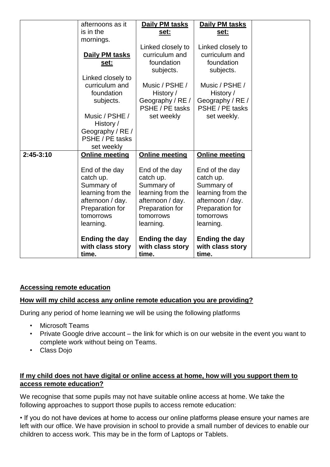|             | afternoons as it      | Daily PM tasks        | Daily PM tasks        |
|-------------|-----------------------|-----------------------|-----------------------|
|             | is in the             | set:                  | <u>set:</u>           |
|             | mornings.             |                       |                       |
|             |                       | Linked closely to     | Linked closely to     |
|             | Daily PM tasks        | curriculum and        | curriculum and        |
|             | set:                  | foundation            | foundation            |
|             |                       | subjects.             | subjects.             |
|             | Linked closely to     |                       |                       |
|             | curriculum and        | Music / PSHE /        | Music / PSHE /        |
|             | foundation            | History /             | History /             |
|             | subjects.             | Geography / RE /      | Geography / RE /      |
|             |                       | PSHE / PE tasks       | PSHE / PE tasks       |
|             | Music / PSHE /        | set weekly            | set weekly.           |
|             | History /             |                       |                       |
|             | Geography / RE /      |                       |                       |
|             | PSHE / PE tasks       |                       |                       |
|             | set weekly            |                       |                       |
| $2:45-3:10$ | <b>Online meeting</b> | <b>Online meeting</b> | <b>Online meeting</b> |
|             |                       |                       |                       |
|             | End of the day        | End of the day        | End of the day        |
|             | catch up.             | catch up.             | catch up.             |
|             | Summary of            | Summary of            | Summary of            |
|             | learning from the     | learning from the     | learning from the     |
|             | afternoon / day.      | afternoon / day.      | afternoon / day.      |
|             | Preparation for       | Preparation for       | Preparation for       |
|             | tomorrows             | tomorrows             | tomorrows             |
|             | learning.             | learning.             | learning.             |
|             | <b>Ending the day</b> | <b>Ending the day</b> | <b>Ending the day</b> |
|             | with class story      | with class story      | with class story      |
|             | time.                 | time.                 | time.                 |

#### **Accessing remote education**

#### **How will my child access any online remote education you are providing?**

During any period of home learning we will be using the following platforms

- Microsoft Teams
- Private Google drive account the link for which is on our website in the event you want to complete work without being on Teams.
- Class Dojo

#### **If my child does not have digital or online access at home, how will you support them to access remote education?**

We recognise that some pupils may not have suitable online access at home. We take the following approaches to support those pupils to access remote education:

• If you do not have devices at home to access our online platforms please ensure your names are left with our office. We have provision in school to provide a small number of devices to enable our children to access work. This may be in the form of Laptops or Tablets.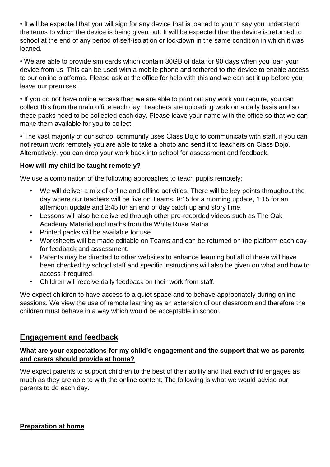• It will be expected that you will sign for any device that is loaned to you to say you understand the terms to which the device is being given out. It will be expected that the device is returned to school at the end of any period of self-isolation or lockdown in the same condition in which it was loaned.

• We are able to provide sim cards which contain 30GB of data for 90 days when you loan your device from us. This can be used with a mobile phone and tethered to the device to enable access to our online platforms. Please ask at the office for help with this and we can set it up before you leave our premises.

• If you do not have online access then we are able to print out any work you require, you can collect this from the main office each day. Teachers are uploading work on a daily basis and so these packs need to be collected each day. Please leave your name with the office so that we can make them available for you to collect.

• The vast majority of our school community uses Class Dojo to communicate with staff, if you can not return work remotely you are able to take a photo and send it to teachers on Class Dojo. Alternatively, you can drop your work back into school for assessment and feedback.

#### **How will my child be taught remotely?**

We use a combination of the following approaches to teach pupils remotely:

- We will deliver a mix of online and offline activities. There will be key points throughout the day where our teachers will be live on Teams. 9:15 for a morning update, 1:15 for an afternoon update and 2:45 for an end of day catch up and story time.
- Lessons will also be delivered through other pre-recorded videos such as The Oak Academy Material and maths from the White Rose Maths
- Printed packs will be available for use
- Worksheets will be made editable on Teams and can be returned on the platform each day for feedback and assessment.
- Parents may be directed to other websites to enhance learning but all of these will have been checked by school staff and specific instructions will also be given on what and how to access if required.
- Children will receive daily feedback on their work from staff.

We expect children to have access to a quiet space and to behave appropriately during online sessions. We view the use of remote learning as an extension of our classroom and therefore the children must behave in a way which would be acceptable in school.

#### **Engagement and feedback**

#### **What are your expectations for my child's engagement and the support that we as parents and carers should provide at home?**

We expect parents to support children to the best of their ability and that each child engages as much as they are able to with the online content. The following is what we would advise our parents to do each day.

**Preparation at home**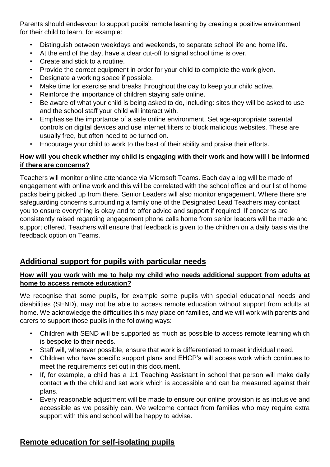Parents should endeavour to support pupils' remote learning by creating a positive environment for their child to learn, for example:

- Distinguish between weekdays and weekends, to separate school life and home life.
- At the end of the day, have a clear cut-off to signal school time is over.
- Create and stick to a routine.
- Provide the correct equipment in order for your child to complete the work given.
- Designate a working space if possible.
- Make time for exercise and breaks throughout the day to keep your child active.
- Reinforce the importance of children staying safe online.
- Be aware of what your child is being asked to do, including: sites they will be asked to use and the school staff your child will interact with.
- Emphasise the importance of a safe online environment. Set age-appropriate parental controls on digital devices and use internet filters to block malicious websites. These are usually free, but often need to be turned on.
- Encourage your child to work to the best of their ability and praise their efforts.

#### **How will you check whether my child is engaging with their work and how will I be informed if there are concerns?**

Teachers will monitor online attendance via Microsoft Teams. Each day a log will be made of engagement with online work and this will be correlated with the school office and our list of home packs being picked up from there. Senior Leaders will also monitor engagement. Where there are safeguarding concerns surrounding a family one of the Designated Lead Teachers may contact you to ensure everything is okay and to offer advice and support if required. If concerns are consistently raised regarding engagement phone calls home from senior leaders will be made and support offered. Teachers will ensure that feedback is given to the children on a daily basis via the feedback option on Teams.

#### **Additional support for pupils with particular needs**

#### **How will you work with me to help my child who needs additional support from adults at home to access remote education?**

We recognise that some pupils, for example some pupils with special educational needs and disabilities (SEND), may not be able to access remote education without support from adults at home. We acknowledge the difficulties this may place on families, and we will work with parents and carers to support those pupils in the following ways:

- Children with SEND will be supported as much as possible to access remote learning which is bespoke to their needs.
- Staff will, wherever possible, ensure that work is differentiated to meet individual need.
- Children who have specific support plans and EHCP's will access work which continues to meet the requirements set out in this document.
- If, for example, a child has a 1:1 Teaching Assistant in school that person will make daily contact with the child and set work which is accessible and can be measured against their plans.
- Every reasonable adjustment will be made to ensure our online provision is as inclusive and accessible as we possibly can. We welcome contact from families who may require extra support with this and school will be happy to advise.

#### **Remote education for self-isolating pupils**